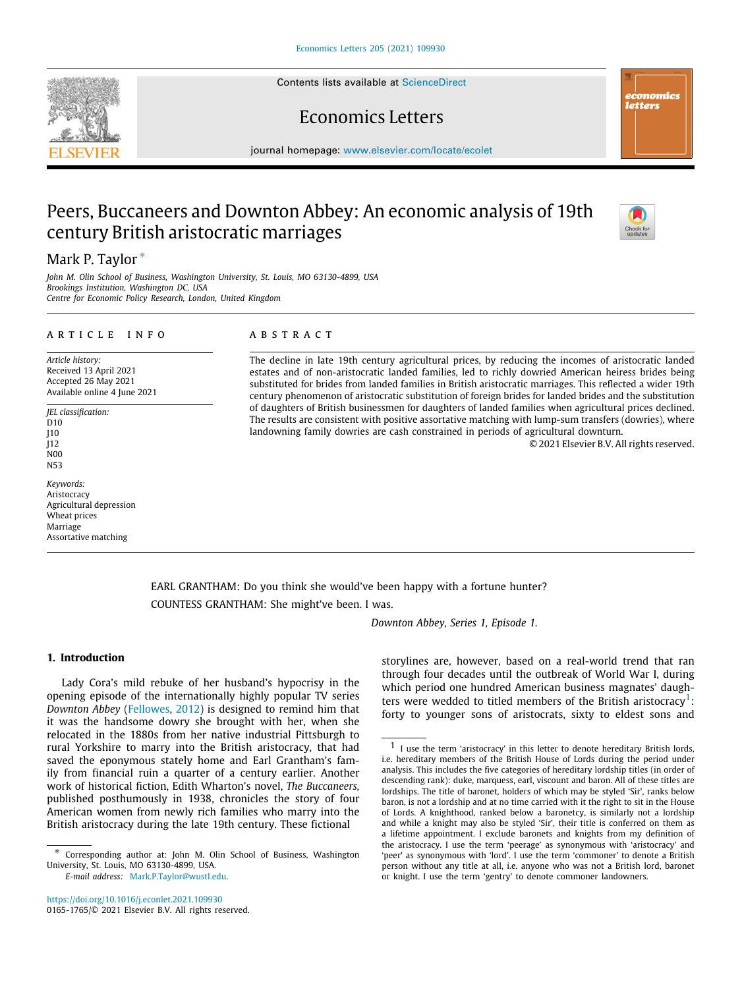Contents lists available at [ScienceDirect](http://www.elsevier.com/locate/ecolet)

# Economics Letters

journal homepage: [www.elsevier.com/locate/ecolet](http://www.elsevier.com/locate/ecolet)

# Peers, Buccaneers and Downton Abbey: An economic analysis of 19th century British aristocratic marriages

# Mark P. Taylor<sup>\*</sup>

*John M. Olin School of Business, Washington University, St. Louis, MO 63130-4899, USA Brookings Institution, Washington DC, USA Centre for Economic Policy Research, London, United Kingdom*

# a r t i c l e i n f o

*Article history:* Received 13 April 2021 Accepted 26 May 2021 Available online 4 June 2021

*JEL classification:* D<sub>10</sub> J10 J12 N00 N53

*Keywords:* Aristocracy Agricultural depression Wheat prices Marriage Assortative matching

### A B S T R A C T

The decline in late 19th century agricultural prices, by reducing the incomes of aristocratic landed estates and of non-aristocratic landed families, led to richly dowried American heiress brides being substituted for brides from landed families in British aristocratic marriages. This reflected a wider 19th century phenomenon of aristocratic substitution of foreign brides for landed brides and the substitution of daughters of British businessmen for daughters of landed families when agricultural prices declined. The results are consistent with positive assortative matching with lump-sum transfers (dowries), where landowning family dowries are cash constrained in periods of agricultural downturn.

<span id="page-0-1"></span>© 2021 Elsevier B.V. All rights reserved.

EARL GRANTHAM: Do you think she would've been happy with a fortune hunter? COUNTESS GRANTHAM: She might've been. I was.

*Downton Abbey, Series 1, Episode 1.*

# **1. Introduction**

Lady Cora's mild rebuke of her husband's hypocrisy in the opening episode of the internationally highly popular TV series *Downton Abbey* ([Fellowes](#page-4-0), [2012\)](#page-4-0) is designed to remind him that it was the handsome dowry she brought with her, when she relocated in the 1880s from her native industrial Pittsburgh to rural Yorkshire to marry into the British aristocracy, that had saved the eponymous stately home and Earl Grantham's family from financial ruin a quarter of a century earlier. Another work of historical fiction, Edith Wharton's novel, *The Buccaneers,* published posthumously in 1938, chronicles the story of four American women from newly rich families who marry into the British aristocracy during the late 19th century. These fictional

*E-mail address:* [Mark.P.Taylor@wustl.edu.](mailto:Mark.P.Taylor@wustl.edu)

<https://doi.org/10.1016/j.econlet.2021.109930> 0165-1765/© 2021 Elsevier B.V. All rights reserved. storylines are, however, based on a real-world trend that ran through four decades until the outbreak of World War I, during which period one hundred American business magnates' daugh-ters were wedded to titled members of the British aristocracy<sup>[1](#page-0-1)</sup>: forty to younger sons of aristocrats, sixty to eldest sons and





.<br>.<br>. **letters** 

<span id="page-0-0"></span><sup>∗</sup> Corresponding author at: John M. Olin School of Business, Washington University, St. Louis, MO 63130-4899, USA.

 $1$  I use the term 'aristocracy' in this letter to denote hereditary British lords, i.e. hereditary members of the British House of Lords during the period under analysis. This includes the five categories of hereditary lordship titles (in order of descending rank): duke, marquess, earl, viscount and baron. All of these titles are lordships. The title of baronet, holders of which may be styled 'Sir', ranks below baron, is not a lordship and at no time carried with it the right to sit in the House of Lords. A knighthood, ranked below a baronetcy, is similarly not a lordship and while a knight may also be styled 'Sir', their title is conferred on them as a lifetime appointment. I exclude baronets and knights from my definition of the aristocracy. I use the term 'peerage' as synonymous with 'aristocracy' and 'peer' as synonymous with 'lord'. I use the term 'commoner' to denote a British person without any title at all, i.e. anyone who was not a British lord, baronet or knight. I use the term 'gentry' to denote commoner landowners.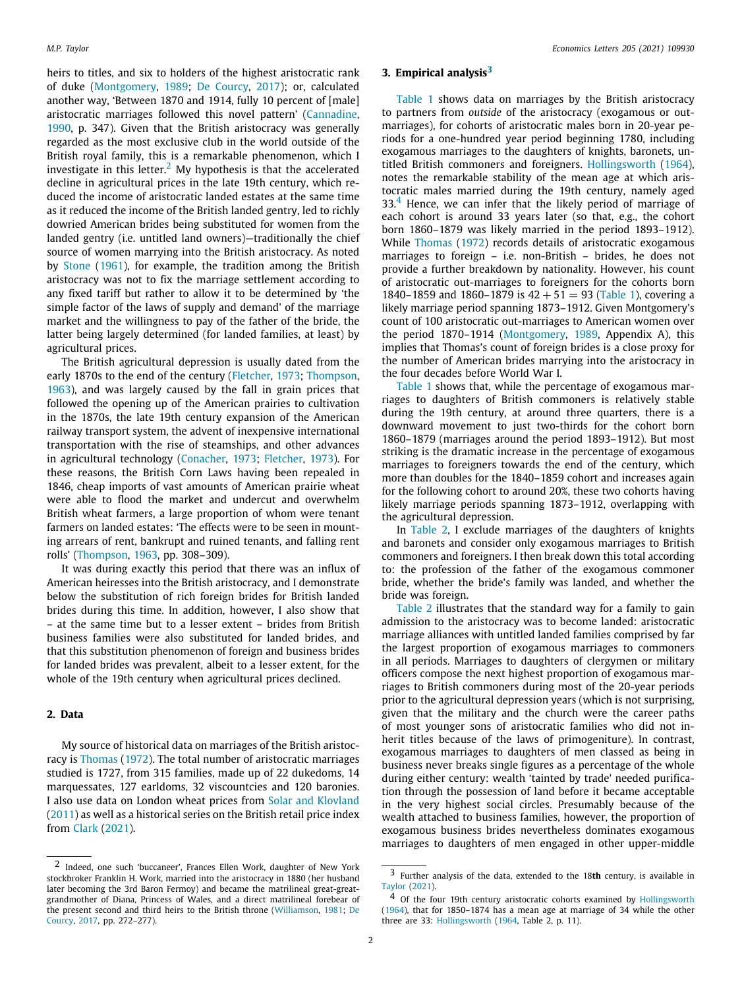<span id="page-1-0"></span>heirs to titles, and six to holders of the highest aristocratic rank of duke([Montgomery,](#page-4-1) [1989](#page-4-1); [De Courcy,](#page-4-2) [2017](#page-4-2)); or, calculated another way, 'Between 1870 and 1914, fully 10 percent of [male] aristocratic marriages followed this novel pattern' [\(Cannadine,](#page-4-3) [1990,](#page-4-3) p. 347). Given that the British aristocracy was generally regarded as the most exclusive club in the world outside of the British royal family, this is a remarkable phenomenon, which I investigate in this letter.<sup>[2](#page-1-0)</sup> My hypothesis is that the accelerated decline in agricultural prices in the late 19th century, which reduced the income of aristocratic landed estates at the same time as it reduced the income of the British landed gentry, led to richly dowried American brides being substituted for women from the landed gentry (i.e. untitled land owners)—traditionally the chief source of women marrying into the British aristocracy. As noted by [Stone](#page-4-4) ([1961](#page-4-4)), for example, the tradition among the British aristocracy was not to fix the marriage settlement according to any fixed tariff but rather to allow it to be determined by 'the simple factor of the laws of supply and demand' of the marriage market and the willingness to pay of the father of the bride, the latter being largely determined (for landed families, at least) by agricultural prices.

The British agricultural depression is usually dated from the early 1870s to the end of the century [\(Fletcher](#page-4-5), [1973;](#page-4-5) [Thompson,](#page-4-6) [1963\)](#page-4-6), and was largely caused by the fall in grain prices that followed the opening up of the American prairies to cultivation in the 1870s, the late 19th century expansion of the American railway transport system, the advent of inexpensive international transportation with the rise of steamships, and other advances in agricultural technology [\(Conacher](#page-4-7), [1973;](#page-4-7) [Fletcher](#page-4-5), [1973\)](#page-4-5). For these reasons, the British Corn Laws having been repealed in 1846, cheap imports of vast amounts of American prairie wheat were able to flood the market and undercut and overwhelm British wheat farmers, a large proportion of whom were tenant farmers on landed estates: 'The effects were to be seen in mounting arrears of rent, bankrupt and ruined tenants, and falling rent rolls' [\(Thompson,](#page-4-6) [1963](#page-4-6), pp. 308–309).

It was during exactly this period that there was an influx of American heiresses into the British aristocracy, and I demonstrate below the substitution of rich foreign brides for British landed brides during this time. In addition, however, I also show that – at the same time but to a lesser extent – brides from British business families were also substituted for landed brides, and that this substitution phenomenon of foreign and business brides for landed brides was prevalent, albeit to a lesser extent, for the whole of the 19th century when agricultural prices declined.

# **2. Data**

My source of historical data on marriages of the British aristocracy is [Thomas](#page-4-8) [\(1972](#page-4-8)). The total number of aristocratic marriages studied is 1727, from 315 families, made up of 22 dukedoms, 14 marquessates, 127 earldoms, 32 viscountcies and 120 baronies. I also use data on London wheat prices from [Solar and Klovland](#page-4-9) ([2011\)](#page-4-9) as well as a historical series on the British retail price index from [Clark](#page-4-10) ([2021\)](#page-4-10).

#### <span id="page-1-1"></span>**3. Empirical analysis[3](#page-1-1)**

<span id="page-1-2"></span>[Table 1](#page-2-0) shows data on marriages by the British aristocracy to partners from *outside* of the aristocracy (exogamous or outmarriages), for cohorts of aristocratic males born in 20-year periods for a one-hundred year period beginning 1780, including exogamous marriages to the daughters of knights, baronets, untitled British commoners and foreigners. [Hollingsworth](#page-4-12) [\(1964\)](#page-4-12), notes the remarkable stability of the mean age at which aristocratic males married during the 19th century, namely aged  $33<sup>4</sup>$  $33<sup>4</sup>$  $33<sup>4</sup>$  Hence, we can infer that the likely period of marriage of each cohort is around 33 years later (so that, e.g., the cohort born 1860–1879 was likely married in the period 1893–1912). While [Thomas](#page-4-8) ([1972](#page-4-8)) records details of aristocratic exogamous marriages to foreign – i.e. non-British – brides, he does not provide a further breakdown by nationality. However, his count of aristocratic out-marriages to foreigners for the cohorts born 1840–1859 and 1860–1879 is  $42 + 51 = 93$  [\(Table 1](#page-2-0)), covering a likely marriage period spanning 1873–1912. Given Montgomery's count of 100 aristocratic out-marriages to American women over the period 1870–1914 [\(Montgomery](#page-4-1), [1989,](#page-4-1) Appendix A), this implies that Thomas's count of foreign brides is a close proxy for the number of American brides marrying into the aristocracy in the four decades before World War I.

[Table 1](#page-2-0) shows that, while the percentage of exogamous marriages to daughters of British commoners is relatively stable during the 19th century, at around three quarters, there is a downward movement to just two-thirds for the cohort born 1860–1879 (marriages around the period 1893–1912). But most striking is the dramatic increase in the percentage of exogamous marriages to foreigners towards the end of the century, which more than doubles for the 1840–1859 cohort and increases again for the following cohort to around 20%, these two cohorts having likely marriage periods spanning 1873–1912, overlapping with the agricultural depression.

In [Table 2](#page-2-1), I exclude marriages of the daughters of knights and baronets and consider only exogamous marriages to British commoners and foreigners. I then break down this total according to: the profession of the father of the exogamous commoner bride, whether the bride's family was landed, and whether the bride was foreign.

[Table 2](#page-2-1) illustrates that the standard way for a family to gain admission to the aristocracy was to become landed: aristocratic marriage alliances with untitled landed families comprised by far the largest proportion of exogamous marriages to commoners in all periods. Marriages to daughters of clergymen or military officers compose the next highest proportion of exogamous marriages to British commoners during most of the 20-year periods prior to the agricultural depression years (which is not surprising, given that the military and the church were the career paths of most younger sons of aristocratic families who did not inherit titles because of the laws of primogeniture). In contrast, exogamous marriages to daughters of men classed as being in business never breaks single figures as a percentage of the whole during either century: wealth 'tainted by trade' needed purification through the possession of land before it became acceptable in the very highest social circles. Presumably because of the wealth attached to business families, however, the proportion of exogamous business brides nevertheless dominates exogamous marriages to daughters of men engaged in other upper-middle

<sup>2</sup> Indeed, one such 'buccaneer', Frances Ellen Work, daughter of New York stockbroker Franklin H. Work, married into the aristocracy in 1880 (her husband later becoming the 3rd Baron Fermoy) and became the matrilineal great-greatgrandmother of Diana, Princess of Wales, and a direct matrilineal forebear of the present second and third heirs to the British throne([Williamson,](#page-4-11) [1981](#page-4-11); [De](#page-4-2) [Courcy,](#page-4-2) [2017,](#page-4-2) pp. 272–277).

<sup>3</sup> Further analysis of the data, extended to the 18**th** century, is available in [Taylor](#page-4-13) [\(2021](#page-4-13)).

<sup>4</sup> Of the four 19th century aristocratic cohorts examined by [Hollingsworth](#page-4-12) [\(1964](#page-4-12)), that for 1850–1874 has a mean age at marriage of 34 while the other three are 33: [Hollingsworth](#page-4-12) ([1964](#page-4-12), Table 2, p. 11).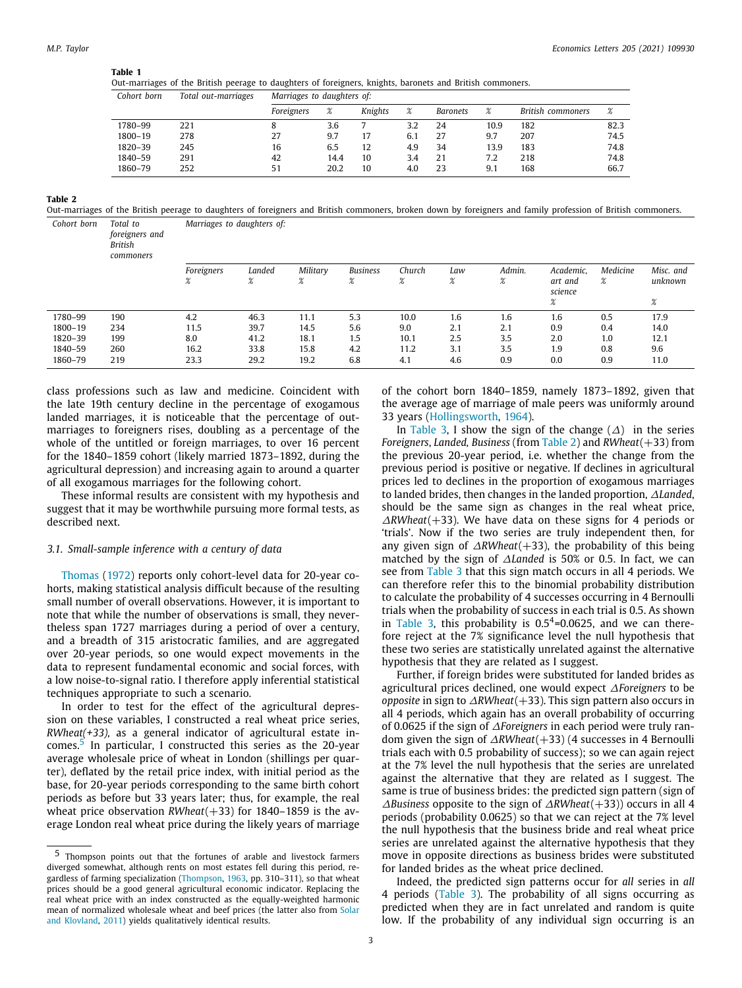<span id="page-2-0"></span>

Out-marriages of the British peerage to daughters of foreigners, knights, baronets and British commoners.

| Cohort born | Total out-marriages | Marriages to daughters of: |        |         |        |                 |        |                   |      |
|-------------|---------------------|----------------------------|--------|---------|--------|-----------------|--------|-------------------|------|
|             |                     | Foreigners                 | $\chi$ | Knights | $\chi$ | <b>Baronets</b> | $\chi$ | British commoners | $\%$ |
| 1780-99     | 221                 |                            | 3.6    |         | 3.2    | 24              | 10.9   | 182               | 82.3 |
| $1800 - 19$ | 278                 | 27                         | 9.7    | 17      | 6.1    | 27              | 9.7    | 207               | 74.5 |
| 1820-39     | 245                 | 16                         | 6.5    | 12      | 4.9    | 34              | 13.9   | 183               | 74.8 |
| 1840-59     | 291                 | 42                         | 14.4   | 10      | 3.4    | 21              | 7.2    | 218               | 74.8 |
| 1860-79     | 252                 | 51                         | 20.2   | 10      | 4.0    | 23              | 9.1    | 168               | 66.7 |

**Table 2**

<span id="page-2-1"></span>Out-marriages of the British peerage to daughters of foreigners and British commoners, broken down by foreigners and family profession of British commoners. *Cohort born Total to Marriages to daughters of:*

|         | foreigners and<br><b>British</b><br>commoners |            |                            |          |                 |         |               |                        |           |          |           |
|---------|-----------------------------------------------|------------|----------------------------|----------|-----------------|---------|---------------|------------------------|-----------|----------|-----------|
|         |                                               | Foreigners | Landed                     | Military | <b>Business</b> | Church  | Law           | Admin.                 | Academic, | Medicine | Misc. and |
|         |                                               | $\chi$     | $\mathbf{o}$<br>$\sqrt{2}$ | $\chi$   | $\chi$          | o<br>/o | $\alpha$<br>6 | $\alpha$<br>$\sqrt{2}$ | art and   | $\chi$   | unknown   |
|         |                                               |            |                            |          |                 |         |               |                        | science   |          |           |
|         |                                               |            |                            |          |                 |         |               |                        | $\chi$    |          | $\chi$    |
| 1780-99 | 190                                           | 4.2        | 46.3                       | 11.1     | 5.3             | 10.0    | 1.6           | 1.6                    | 1.6       | 0.5      | 17.9      |
| 1800-19 | 234                                           | 11.5       | 39.7                       | 14.5     | 5.6             | 9.0     | 2.1           | 2.1                    | 0.9       | 0.4      | 14.0      |
| 1820-39 | 199                                           | 8.0        | 41.2                       | 18.1     | 1.5             | 10.1    | 2.5           | 3.5                    | 2.0       | 1.0      | 12.1      |
| 1840-59 | 260                                           | 16.2       | 33.8                       | 15.8     | 4.2             | 11.2    | 3.1           | 3.5                    | 1.9       | 0.8      | 9.6       |
| 1860-79 | 219                                           | 23.3       | 29.2                       | 19.2     | 6.8             | 4.1     | 4.6           | 0.9                    | 0.0       | 0.9      | 11.0      |

class professions such as law and medicine. Coincident with the late 19th century decline in the percentage of exogamous landed marriages, it is noticeable that the percentage of outmarriages to foreigners rises, doubling as a percentage of the whole of the untitled or foreign marriages, to over 16 percent for the 1840–1859 cohort (likely married 1873–1892, during the agricultural depression) and increasing again to around a quarter of all exogamous marriages for the following cohort.

These informal results are consistent with my hypothesis and suggest that it may be worthwhile pursuing more formal tests, as described next.

### *3.1. Small-sample inference with a century of data*

[Thomas](#page-4-8) ([1972\)](#page-4-8) reports only cohort-level data for 20-year cohorts, making statistical analysis difficult because of the resulting small number of overall observations. However, it is important to note that while the number of observations is small, they nevertheless span 1727 marriages during a period of over a century, and a breadth of 315 aristocratic families, and are aggregated over 20-year periods, so one would expect movements in the data to represent fundamental economic and social forces, with a low noise-to-signal ratio. I therefore apply inferential statistical techniques appropriate to such a scenario.

<span id="page-2-2"></span>In order to test for the effect of the agricultural depression on these variables, I constructed a real wheat price series, *RWheat(+33),* as a general indicator of agricultural estate in-comes.<sup>[5](#page-2-2)</sup> In particular, I constructed this series as the 20-year average wholesale price of wheat in London (shillings per quarter), deflated by the retail price index, with initial period as the base, for 20-year periods corresponding to the same birth cohort periods as before but 33 years later; thus, for example, the real wheat price observation *RWheat*(+33) for 1840–1859 is the average London real wheat price during the likely years of marriage

of the cohort born 1840–1859, namely 1873–1892, given that the average age of marriage of male peers was uniformly around 33 years [\(Hollingsworth,](#page-4-12) [1964\)](#page-4-12).

In [Table 3,](#page-3-0) I show the sign of the change  $(\Delta)$  in the series *Foreigners*, *Landed, Business* (from [Table 2\)](#page-2-1) and *RWheat*(+33) from the previous 20-year period, i.e. whether the change from the previous period is positive or negative. If declines in agricultural prices led to declines in the proportion of exogamous marriages to landed brides, then changes in the landed proportion, ∆*Landed*, should be the same sign as changes in the real wheat price, ∆*RWheat*(+33). We have data on these signs for 4 periods or 'trials'. Now if the two series are truly independent then, for any given sign of ∆*RWheat*(+33), the probability of this being matched by the sign of ∆*Landed* is 50% or 0.5. In fact, we can see from [Table 3](#page-3-0) that this sign match occurs in all 4 periods. We can therefore refer this to the binomial probability distribution to calculate the probability of 4 successes occurring in 4 Bernoulli trials when the probability of success in each trial is 0.5. As shown in [Table 3](#page-3-0), this probability is  $0.5<sup>4</sup>=0.0625$ , and we can therefore reject at the 7% significance level the null hypothesis that these two series are statistically unrelated against the alternative hypothesis that they are related as I suggest.

Further, if foreign brides were substituted for landed brides as agricultural prices declined, one would expect ∆*Foreigners* to be *opposite* in sign to ∆*RWheat*(+33). This sign pattern also occurs in all 4 periods, which again has an overall probability of occurring of 0.0625 if the sign of ∆*Foreigners* in each period were truly random given the sign of ∆*RWheat*(+33) (4 successes in 4 Bernoulli trials each with 0.5 probability of success); so we can again reject at the 7% level the null hypothesis that the series are unrelated against the alternative that they are related as I suggest. The same is true of business brides: the predicted sign pattern (sign of ∆*Business* opposite to the sign of ∆*RWheat*(+33)) occurs in all 4 periods (probability 0.0625) so that we can reject at the 7% level the null hypothesis that the business bride and real wheat price series are unrelated against the alternative hypothesis that they move in opposite directions as business brides were substituted for landed brides as the wheat price declined.

Indeed, the predicted sign patterns occur for *all* series in *all* 4 periods([Table 3\)](#page-3-0). The probability of all signs occurring as predicted when they are in fact unrelated and random is quite low. If the probability of any individual sign occurring is an

<sup>5</sup> Thompson points out that the fortunes of arable and livestock farmers diverged somewhat, although rents on most estates fell during this period, regardless of farming specialization [\(Thompson](#page-4-6), [1963](#page-4-6), pp. 310–311), so that wheat prices should be a good general agricultural economic indicator. Replacing the real wheat price with an index constructed as the equally-weighted harmonic mean of normalized wholesale wheat and beef prices (the latter also from [Solar](#page-4-9) [and Klovland,](#page-4-9) [2011](#page-4-9)) yields qualitatively identical results.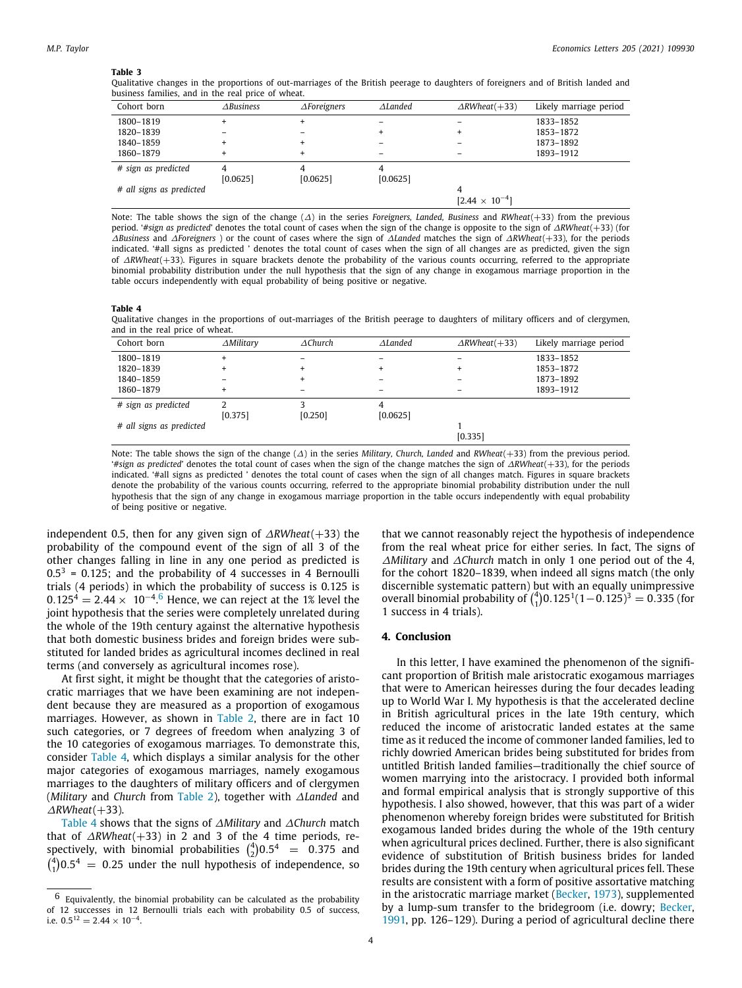#### **Table 3**

<span id="page-3-0"></span>Qualitative changes in the proportions of out-marriages of the British peerage to daughters of foreigners and of British landed and business families, and in the real price of wheat.

| Cohort born              | $\triangle Business$ | $\triangle$ Foreigners | $\Delta$ Landed | $\triangle$ RWheat(+33) | Likely marriage period |
|--------------------------|----------------------|------------------------|-----------------|-------------------------|------------------------|
| 1800-1819                |                      |                        |                 |                         | 1833-1852              |
| 1820-1839                |                      |                        | $\pm$           | $\ddot{}$               | 1853-1872              |
| 1840-1859                |                      |                        |                 |                         | 1873-1892              |
| 1860-1879                | ÷                    |                        |                 | -                       | 1893-1912              |
| # sign as predicted      | [0.0625]             | [0.0625]               | [0.0625]        |                         |                        |
| # all signs as predicted |                      |                        |                 | 4                       |                        |
|                          |                      |                        |                 | $[2.44 \times 10^{-4}]$ |                        |

Note: The table shows the sign of the change (∆) in the series *Foreigners, Landed, Business* and *RWheat*(+33) from the previous period. '*#sign as predicted*' denotes the total count of cases when the sign of the change is opposite to the sign of ∆*RWheat*(+33) (for ∆*Business* and ∆*Foreigners* ) or the count of cases where the sign of ∆*Landed* matches the sign of ∆*RWheat*(+33), for the periods indicated. '#all signs as predicted ' denotes the total count of cases when the sign of all changes are as predicted, given the sign of ∆*RWheat*(+33). Figures in square brackets denote the probability of the various counts occurring, referred to the appropriate binomial probability distribution under the null hypothesis that the sign of any change in exogamous marriage proportion in the table occurs independently with equal probability of being positive or negative.

#### **Table 4**

<span id="page-3-2"></span>Qualitative changes in the proportions of out-marriages of the British peerage to daughters of military officers and of clergymen, and in the real price of wheat.

| Cohort born              | $\triangle$ Military | $\triangle$ Church | $\Delta$ Landed | $\triangle$ RWheat(+33) | Likely marriage period |
|--------------------------|----------------------|--------------------|-----------------|-------------------------|------------------------|
| 1800-1819                |                      |                    |                 |                         | 1833-1852              |
| 1820-1839                |                      |                    |                 | $\ddot{}$               | 1853-1872              |
| 1840-1859                |                      |                    |                 |                         | 1873-1892              |
| 1860-1879                |                      | -                  |                 |                         | 1893-1912              |
| # sign as predicted      |                      |                    |                 |                         |                        |
|                          | [0.375]              | $[0.250]$          | [0.0625]        |                         |                        |
| # all signs as predicted |                      |                    |                 |                         |                        |
|                          |                      |                    |                 | [0.335]                 |                        |

Note: The table shows the sign of the change (∆) in the series *Military, Church, Landed* and *RWheat*(+33) from the previous period. '*#sign as predicted*' denotes the total count of cases when the sign of the change matches the sign of ∆*RWheat*(+33), for the periods indicated. '#all signs as predicted ' denotes the total count of cases when the sign of all changes match. Figures in square brackets denote the probability of the various counts occurring, referred to the appropriate binomial probability distribution under the null hypothesis that the sign of any change in exogamous marriage proportion in the table occurs independently with equal probability of being positive or negative.

<span id="page-3-1"></span>independent 0.5, then for any given sign of ∆*RWheat*(+33) the probability of the compound event of the sign of all 3 of the other changes falling in line in any one period as predicted is  $0.5<sup>3</sup> = 0.125$ ; and the probability of 4 successes in 4 Bernoulli trials (4 periods) in which the probability of success is 0.125 is  $0.125^4 = 2.44 \times 10^{-4.6}$  $0.125^4 = 2.44 \times 10^{-4.6}$  $0.125^4 = 2.44 \times 10^{-4.6}$  Hence, we can reject at the 1% level the joint hypothesis that the series were completely unrelated during the whole of the 19th century against the alternative hypothesis that both domestic business brides and foreign brides were substituted for landed brides as agricultural incomes declined in real terms (and conversely as agricultural incomes rose).

At first sight, it might be thought that the categories of aristocratic marriages that we have been examining are not independent because they are measured as a proportion of exogamous marriages. However, as shown in [Table 2,](#page-2-1) there are in fact 10 such categories, or 7 degrees of freedom when analyzing 3 of the 10 categories of exogamous marriages. To demonstrate this, consider [Table 4,](#page-3-2) which displays a similar analysis for the other major categories of exogamous marriages, namely exogamous marriages to the daughters of military officers and of clergymen (*Military* and *Church* from [Table 2\)](#page-2-1), together with ∆*Landed* and ∆*RWheat*(+33).

[Table 4](#page-3-2) shows that the signs of ∆*Military* and ∆*Church* match that of ∆*RWheat*(+33) in 2 and 3 of the 4 time periods, respectively, with binomial probabilities  $\binom{4}{2}0.5^4$  = 0.375 and  $\binom{4}{1}0.5^4$  = 0.25 under the null hypothesis of independence, so

that we cannot reasonably reject the hypothesis of independence from the real wheat price for either series. In fact, The signs of ∆*Military* and ∆*Church* match in only 1 one period out of the 4, for the cohort 1820–1839, when indeed all signs match (the only discernible systematic pattern) but with an equally unimpressive overall binomial probability of  $\binom{4}{1}$ 0.125<sup>1</sup> $(1-0.125)^3 = 0.335$  (for 1 success in 4 trials).

#### **4. Conclusion**

In this letter, I have examined the phenomenon of the significant proportion of British male aristocratic exogamous marriages that were to American heiresses during the four decades leading up to World War I. My hypothesis is that the accelerated decline in British agricultural prices in the late 19th century, which reduced the income of aristocratic landed estates at the same time as it reduced the income of commoner landed families, led to richly dowried American brides being substituted for brides from untitled British landed families—traditionally the chief source of women marrying into the aristocracy. I provided both informal and formal empirical analysis that is strongly supportive of this hypothesis. I also showed, however, that this was part of a wider phenomenon whereby foreign brides were substituted for British exogamous landed brides during the whole of the 19th century when agricultural prices declined. Further, there is also significant evidence of substitution of British business brides for landed brides during the 19th century when agricultural prices fell. These results are consistent with a form of positive assortative matching in the aristocratic marriage market [\(Becker,](#page-4-14) [1973](#page-4-14)), supplemented by a lump-sum transfer to the bridegroom (i.e. dowry; [Becker,](#page-4-15) [1991,](#page-4-15) pp. 126–129). During a period of agricultural decline there

<sup>6</sup> Equivalently, the binomial probability can be calculated as the probability of 12 successes in 12 Bernoulli trials each with probability 0.5 of success, i.e.  $0.5^{12} = 2.44 \times 10^{-4}$ .